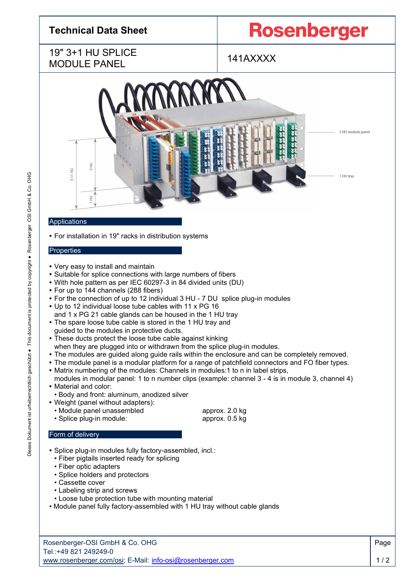# **Technical Data Sheet**

# **Rosenberger**

### 19" 3+1 HU SPLICE MODULE PANEL



#### Applications

**•** For installation in 19" racks in distribution systems

#### **Properties**

- **•** Very easy to install and maintain
- **•** Suitable for splice connections with large numbers of fibers
- **•** With hole pattern as per IEC 60297-3 in 84 divided units (DU)
- **•** For up to 144 channels (288 fibers)
- **•** For the connection of up to 12 individual 3 HU 7 DU splice plug-in modules
- **•** Up to 12 individual loose tube cables with 11 x PG 16 and 1 x PG 21 cable glands can be housed in the 1 HU tray
- **•** The spare loose tube cable is stored in the 1 HU tray and guided to the modules in protective ducts.
- **•** These ducts protect the loose tube cable against kinking when they are plugged into or withdrawn from the splice plug-in modules.
- **•** The modules are guided along guide rails within the enclosure and can be completely removed.
- **•** The module panel is a modular platform for a range of patchfield connectors and FO fiber types.
- **•** Matrix numbering of the modules: Channels in modules:1 to n in label strips, modules in modular panel: 1 to n number clips (example: channel 3 - 4 is in module 3, channel 4)
- **•** Material and color:
- Body and front: aluminum, anodized silver
- **•** Weight (panel without adapters):
	- Module panel unassembled approx. 2.0 kg • Splice plug-in module: approx. 0.5 kg

### Form of delivery

- **•** Splice plug-in modules fully factory-assembled, incl.:
	- Fiber pigtails inserted ready for splicing
	- Fiber optic adapters
	- Splice holders and protectors
	- Cassette cover
	- Labeling strip and screws
	- Loose tube protection tube with mounting material
- Module panel fully factory-assembled with 1 HU tray without cable glands